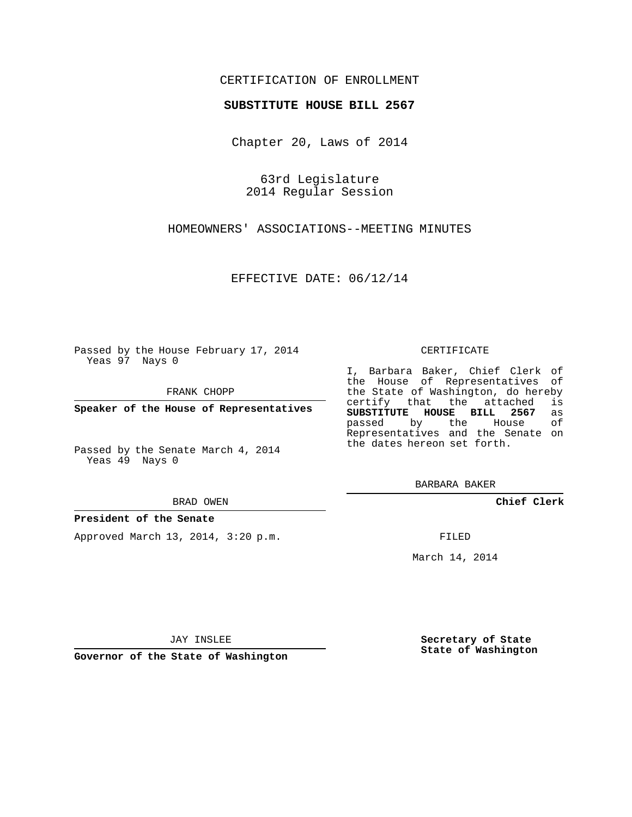### CERTIFICATION OF ENROLLMENT

#### **SUBSTITUTE HOUSE BILL 2567**

Chapter 20, Laws of 2014

63rd Legislature 2014 Regular Session

HOMEOWNERS' ASSOCIATIONS--MEETING MINUTES

EFFECTIVE DATE: 06/12/14

Passed by the House February 17, 2014 Yeas 97 Nays 0

FRANK CHOPP

**Speaker of the House of Representatives**

Passed by the Senate March 4, 2014 Yeas 49 Nays 0

BRAD OWEN

#### **President of the Senate**

Approved March 13, 2014, 3:20 p.m.

CERTIFICATE

I, Barbara Baker, Chief Clerk of the House of Representatives of the State of Washington, do hereby<br>certify that the attached is certify that the attached is<br>**SUBSTITUTE HOUSE BILL 2567** as **SUBSTITUTE HOUSE BILL 2567** as passed by the Representatives and the Senate on the dates hereon set forth.

BARBARA BAKER

**Chief Clerk**

FILED

March 14, 2014

JAY INSLEE

**Governor of the State of Washington**

**Secretary of State State of Washington**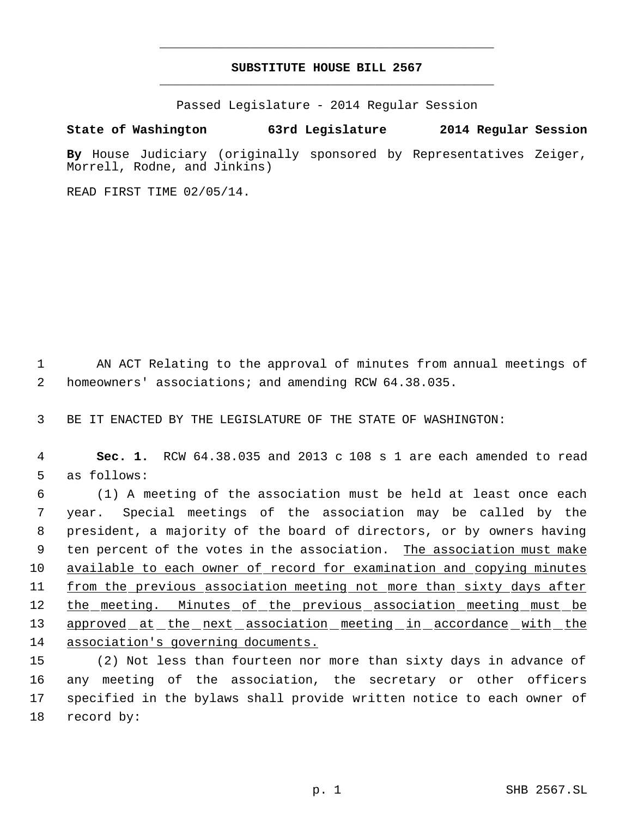# **SUBSTITUTE HOUSE BILL 2567** \_\_\_\_\_\_\_\_\_\_\_\_\_\_\_\_\_\_\_\_\_\_\_\_\_\_\_\_\_\_\_\_\_\_\_\_\_\_\_\_\_\_\_\_\_

\_\_\_\_\_\_\_\_\_\_\_\_\_\_\_\_\_\_\_\_\_\_\_\_\_\_\_\_\_\_\_\_\_\_\_\_\_\_\_\_\_\_\_\_\_

Passed Legislature - 2014 Regular Session

## **State of Washington 63rd Legislature 2014 Regular Session**

**By** House Judiciary (originally sponsored by Representatives Zeiger, Morrell, Rodne, and Jinkins)

READ FIRST TIME 02/05/14.

 1 AN ACT Relating to the approval of minutes from annual meetings of 2 homeowners' associations; and amending RCW 64.38.035.

3 BE IT ENACTED BY THE LEGISLATURE OF THE STATE OF WASHINGTON:

 4 **Sec. 1.** RCW 64.38.035 and 2013 c 108 s 1 are each amended to read 5 as follows:

 (1) A meeting of the association must be held at least once each year. Special meetings of the association may be called by the president, a majority of the board of directors, or by owners having 9 ten percent of the votes in the association. The association must make available to each owner of record for examination and copying minutes from the previous association meeting not more than sixty days after 12 the meeting. Minutes of the previous association meeting must be 13 approved at the next association meeting in accordance with the association's governing documents.

 (2) Not less than fourteen nor more than sixty days in advance of any meeting of the association, the secretary or other officers specified in the bylaws shall provide written notice to each owner of record by: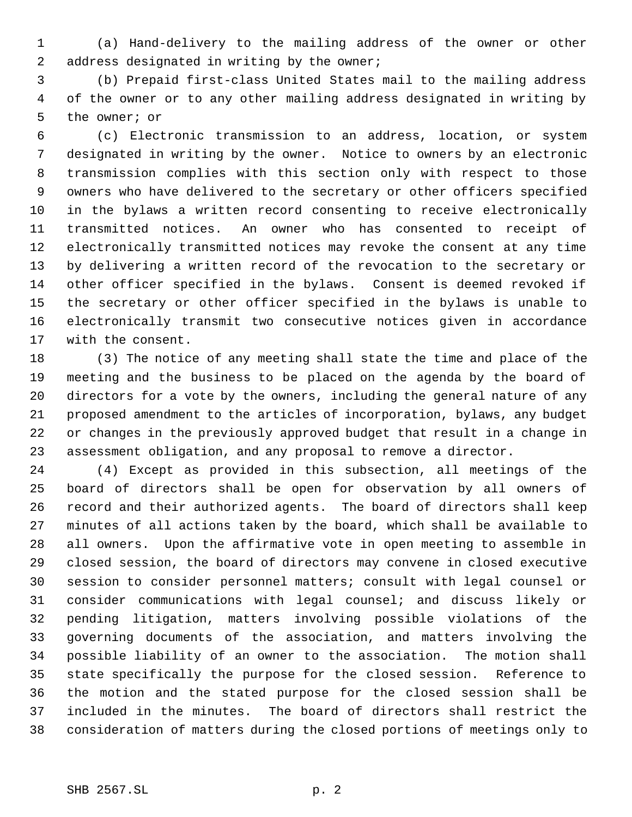(a) Hand-delivery to the mailing address of the owner or other address designated in writing by the owner;

 (b) Prepaid first-class United States mail to the mailing address of the owner or to any other mailing address designated in writing by the owner; or

 (c) Electronic transmission to an address, location, or system designated in writing by the owner. Notice to owners by an electronic transmission complies with this section only with respect to those owners who have delivered to the secretary or other officers specified in the bylaws a written record consenting to receive electronically transmitted notices. An owner who has consented to receipt of electronically transmitted notices may revoke the consent at any time by delivering a written record of the revocation to the secretary or other officer specified in the bylaws. Consent is deemed revoked if the secretary or other officer specified in the bylaws is unable to electronically transmit two consecutive notices given in accordance with the consent.

 (3) The notice of any meeting shall state the time and place of the meeting and the business to be placed on the agenda by the board of directors for a vote by the owners, including the general nature of any proposed amendment to the articles of incorporation, bylaws, any budget or changes in the previously approved budget that result in a change in assessment obligation, and any proposal to remove a director.

 (4) Except as provided in this subsection, all meetings of the board of directors shall be open for observation by all owners of record and their authorized agents. The board of directors shall keep minutes of all actions taken by the board, which shall be available to all owners. Upon the affirmative vote in open meeting to assemble in closed session, the board of directors may convene in closed executive session to consider personnel matters; consult with legal counsel or consider communications with legal counsel; and discuss likely or pending litigation, matters involving possible violations of the governing documents of the association, and matters involving the possible liability of an owner to the association. The motion shall state specifically the purpose for the closed session. Reference to the motion and the stated purpose for the closed session shall be included in the minutes. The board of directors shall restrict the consideration of matters during the closed portions of meetings only to